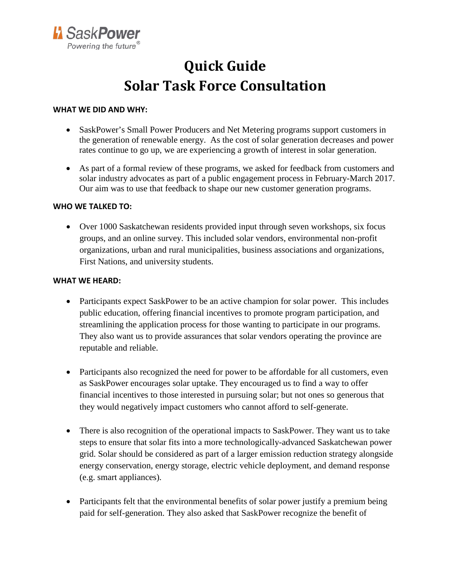

## **Quick Guide Solar Task Force Consultation**

## **WHAT WE DID AND WHY:**

- SaskPower's Small Power Producers and Net Metering programs support customers in the generation of renewable energy. As the cost of solar generation decreases and power rates continue to go up, we are experiencing a growth of interest in solar generation.
- As part of a formal review of these programs, we asked for feedback from customers and solar industry advocates as part of a public engagement process in February-March 2017. Our aim was to use that feedback to shape our new customer generation programs.

## **WHO WE TALKED TO:**

• Over 1000 Saskatchewan residents provided input through seven workshops, six focus groups, and an online survey. This included solar vendors, environmental non-profit organizations, urban and rural municipalities, business associations and organizations, First Nations, and university students.

## **WHAT WE HEARD:**

- Participants expect SaskPower to be an active champion for solar power. This includes public education, offering financial incentives to promote program participation, and streamlining the application process for those wanting to participate in our programs. They also want us to provide assurances that solar vendors operating the province are reputable and reliable.
- Participants also recognized the need for power to be affordable for all customers, even as SaskPower encourages solar uptake. They encouraged us to find a way to offer financial incentives to those interested in pursuing solar; but not ones so generous that they would negatively impact customers who cannot afford to self-generate.
- There is also recognition of the operational impacts to SaskPower. They want us to take steps to ensure that solar fits into a more technologically-advanced Saskatchewan power grid. Solar should be considered as part of a larger emission reduction strategy alongside energy conservation, energy storage, electric vehicle deployment, and demand response (e.g. smart appliances).
- Participants felt that the environmental benefits of solar power justify a premium being paid for self-generation. They also asked that SaskPower recognize the benefit of